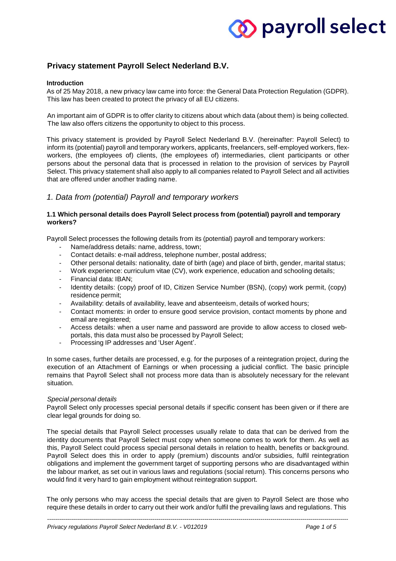## **Privacy statement Payroll Select Nederland B.V.**

#### **Introduction**

As of 25 May 2018, a new privacy law came into force: the General Data Protection Regulation (GDPR). This law has been created to protect the privacy of all EU citizens.

An important aim of GDPR is to offer clarity to citizens about which data (about them) is being collected. The law also offers citizens the opportunity to object to this process.

This privacy statement is provided by Payroll Select Nederland B.V. (hereinafter: Payroll Select) to inform its (potential) payroll and temporary workers, applicants, freelancers, self-employed workers, flexworkers, (the employees of) clients, (the employees of) intermediaries, client participants or other persons about the personal data that is processed in relation to the provision of services by Payroll Select. This privacy statement shall also apply to all companies related to Payroll Select and all activities that are offered under another trading name.

## *1. Data from (potential) Payroll and temporary workers*

## **1.1 Which personal details does Payroll Select process from (potential) payroll and temporary workers?**

Payroll Select processes the following details from its (potential) payroll and temporary workers:

- Name/address details: name, address, town;
- Contact details: e-mail address, telephone number, postal address;
- Other personal details: nationality, date of birth (age) and place of birth, gender, marital status;
- Work experience: curriculum vitae (CV), work experience, education and schooling details;
- Financial data: IBAN;
- Identity details: (copy) proof of ID, Citizen Service Number (BSN), (copy) work permit, (copy) residence permit;
- Availability: details of availability, leave and absenteeism, details of worked hours;
- Contact moments: in order to ensure good service provision, contact moments by phone and email are registered;
- Access details: when a user name and password are provide to allow access to closed webportals, this data must also be processed by Payroll Select;
- Processing IP addresses and 'User Agent'.

In some cases, further details are processed, e.g. for the purposes of a reintegration project, during the execution of an Attachment of Earnings or when processing a judicial conflict. The basic principle remains that Payroll Select shall not process more data than is absolutely necessary for the relevant situation.

#### *Special personal details*

Payroll Select only processes special personal details if specific consent has been given or if there are clear legal grounds for doing so.

The special details that Payroll Select processes usually relate to data that can be derived from the identity documents that Payroll Select must copy when someone comes to work for them. As well as this, Payroll Select could process special personal details in relation to health, benefits or background. Payroll Select does this in order to apply (premium) discounts and/or subsidies, fulfil reintegration obligations and implement the government target of supporting persons who are disadvantaged within the labour market, as set out in various laws and regulations (social return). This concerns persons who would find it very hard to gain employment without reintegration support.

The only persons who may access the special details that are given to Payroll Select are those who require these details in order to carry out their work and/or fulfil the prevailing laws and regulations. This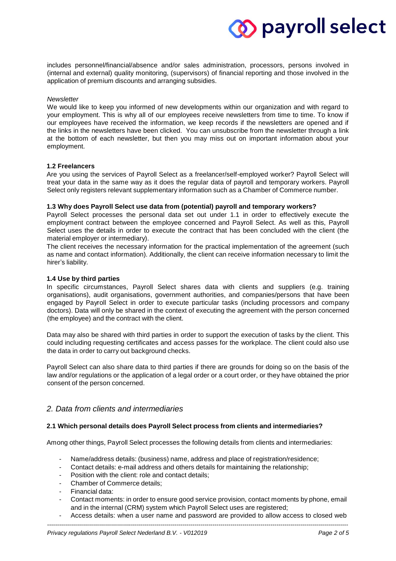includes personnel/financial/absence and/or sales administration, processors, persons involved in (internal and external) quality monitoring, (supervisors) of financial reporting and those involved in the application of premium discounts and arranging subsidies.

#### *Newsletter*

We would like to keep you informed of new developments within our organization and with regard to your employment. This is why all of our employees receive newsletters from time to time. To know if our employees have received the information, we keep records if the newsletters are opened and if the links in the newsletters have been clicked. You can unsubscribe from the newsletter through a link at the bottom of each newsletter, but then you may miss out on important information about your employment.

## **1.2 Freelancers**

Are you using the services of Payroll Select as a freelancer/self-employed worker? Payroll Select will treat your data in the same way as it does the regular data of payroll and temporary workers. Payroll Select only registers relevant supplementary information such as a Chamber of Commerce number.

## **1.3 Why does Payroll Select use data from (potential) payroll and temporary workers?**

Payroll Select processes the personal data set out under 1.1 in order to effectively execute the employment contract between the employee concerned and Payroll Select. As well as this, Payroll Select uses the details in order to execute the contract that has been concluded with the client (the material employer or intermediary).

The client receives the necessary information for the practical implementation of the agreement (such as name and contact information). Additionally, the client can receive information necessary to limit the hirer's liability.

#### **1.4 Use by third parties**

In specific circumstances, Payroll Select shares data with clients and suppliers (e.g. training organisations), audit organisations, government authorities, and companies/persons that have been engaged by Payroll Select in order to execute particular tasks (including processors and company doctors). Data will only be shared in the context of executing the agreement with the person concerned (the employee) and the contract with the client.

Data may also be shared with third parties in order to support the execution of tasks by the client. This could including requesting certificates and access passes for the workplace. The client could also use the data in order to carry out background checks.

Payroll Select can also share data to third parties if there are grounds for doing so on the basis of the law and/or regulations or the application of a legal order or a court order, or they have obtained the prior consent of the person concerned.

## *2. Data from clients and intermediaries*

## **2.1 Which personal details does Payroll Select process from clients and intermediaries?**

Among other things, Payroll Select processes the following details from clients and intermediaries:

- Name/address details: (business) name, address and place of registration/residence;
- Contact details: e-mail address and others details for maintaining the relationship;
- Position with the client: role and contact details:
- Chamber of Commerce details:
- Financial data:
- Contact moments: in order to ensure good service provision, contact moments by phone, email and in the internal (CRM) system which Payroll Select uses are registered;
- Access details: when a user name and password are provided to allow access to closed web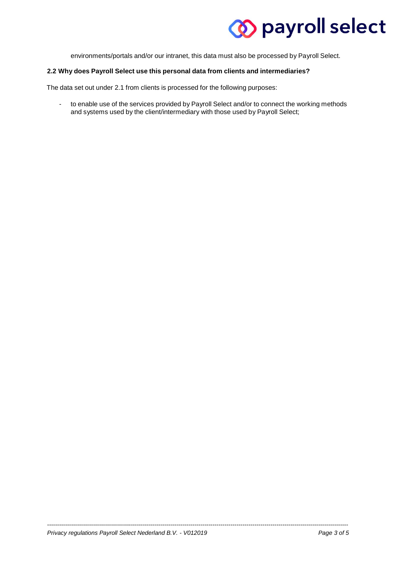environments/portals and/or our intranet, this data must also be processed by Payroll Select.

## **2.2 Why does Payroll Select use this personal data from clients and intermediaries?**

The data set out under 2.1 from clients is processed for the following purposes:

- to enable use of the services provided by Payroll Select and/or to connect the working methods and systems used by the client/intermediary with those used by Payroll Select;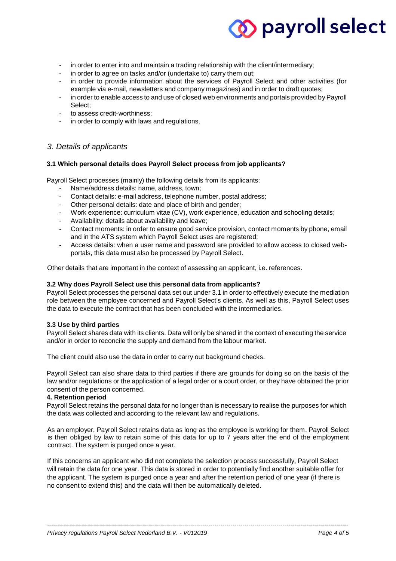- in order to enter into and maintain a trading relationship with the client/intermediary;
- in order to agree on tasks and/or (undertake to) carry them out;
- in order to provide information about the services of Payroll Select and other activities (for example via e-mail, newsletters and company magazines) and in order to draft quotes;
- in order to enable access to and use of closed web environments and portals provided by Payroll Select;
- to assess credit-worthiness;
- in order to comply with laws and regulations.

## *3. Details of applicants*

#### **3.1 Which personal details does Payroll Select process from job applicants?**

Payroll Select processes (mainly) the following details from its applicants:

- Name/address details: name, address, town;
- Contact details: e-mail address, telephone number, postal address;
- Other personal details: date and place of birth and gender;
- Work experience: curriculum vitae (CV), work experience, education and schooling details;
- Availability: details about availability and leave;
- Contact moments: in order to ensure good service provision, contact moments by phone, email and in the ATS system which Payroll Select uses are registered;
- Access details: when a user name and password are provided to allow access to closed webportals, this data must also be processed by Payroll Select.

Other details that are important in the context of assessing an applicant, i.e. references.

#### **3.2 Why does Payroll Select use this personal data from applicants?**

Payroll Select processes the personal data set out under 3.1 in order to effectively execute the mediation role between the employee concerned and Payroll Select's clients. As well as this, Payroll Select uses the data to execute the contract that has been concluded with the intermediaries.

#### **3.3 Use by third parties**

Payroll Select shares data with its clients. Data will only be shared in the context of executing the service and/or in order to reconcile the supply and demand from the labour market.

The client could also use the data in order to carry out background checks.

Payroll Select can also share data to third parties if there are grounds for doing so on the basis of the law and/or regulations or the application of a legal order or a court order, or they have obtained the prior consent of the person concerned.

## **4. Retention period**

Payroll Select retains the personal data for no longer than is necessary to realise the purposes for which the data was collected and according to the relevant law and regulations.

As an employer, Payroll Select retains data as long as the employee is working for them. Payroll Select is then obliged by law to retain some of this data for up to 7 years after the end of the employment contract. The system is purged once a year.

If this concerns an applicant who did not complete the selection process successfully, Payroll Select will retain the data for one year. This data is stored in order to potentially find another suitable offer for the applicant. The system is purged once a year and after the retention period of one year (if there is no consent to extend this) and the data will then be automatically deleted.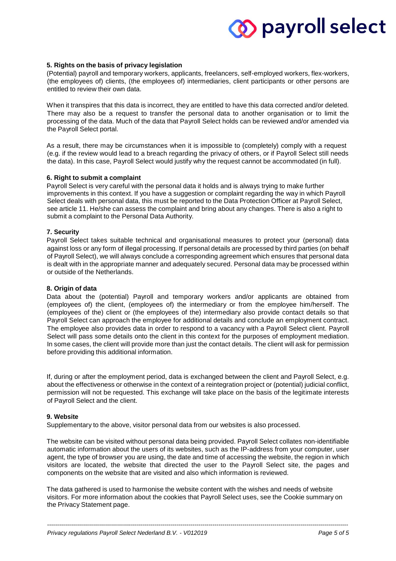#### **5. Rights on the basis of privacy legislation**

(Potential) payroll and temporary workers, applicants, freelancers, self-employed workers, flex-workers, (the employees of) clients, (the employees of) intermediaries, client participants or other persons are entitled to review their own data.

When it transpires that this data is incorrect, they are entitled to have this data corrected and/or deleted. There may also be a request to transfer the personal data to another organisation or to limit the processing of the data. Much of the data that Payroll Select holds can be reviewed and/or amended via the Payroll Select portal.

As a result, there may be circumstances when it is impossible to (completely) comply with a request (e.g. if the review would lead to a breach regarding the privacy of others, or if Payroll Select still needs the data). In this case, Payroll Select would justify why the request cannot be accommodated (in full).

#### **6. Right to submit a complaint**

Payroll Select is very careful with the personal data it holds and is always trying to make further improvements in this context. If you have a suggestion or complaint regarding the way in which Payroll Select deals with personal data, this must be reported to the Data Protection Officer at Payroll Select, see article 11. He/she can assess the complaint and bring about any changes. There is also a right to submit a complaint to the Personal Data Authority.

#### **7. Security**

Payroll Select takes suitable technical and organisational measures to protect your (personal) data against loss or any form of illegal processing. If personal details are processed by third parties (on behalf of Payroll Select), we will always conclude a corresponding agreement which ensures that personal data is dealt with in the appropriate manner and adequately secured. Personal data may be processed within or outside of the Netherlands.

#### **8. Origin of data**

Data about the (potential) Payroll and temporary workers and/or applicants are obtained from (employees of) the client, (employees of) the intermediary or from the employee him/herself. The (employees of the) client or (the employees of the) intermediary also provide contact details so that Payroll Select can approach the employee for additional details and conclude an employment contract. The employee also provides data in order to respond to a vacancy with a Payroll Select client. Payroll Select will pass some details onto the client in this context for the purposes of employment mediation. In some cases, the client will provide more than just the contact details. The client will ask for permission before providing this additional information.

If, during or after the employment period, data is exchanged between the client and Payroll Select, e.g. about the effectiveness or otherwise in the context of a reintegration project or (potential) judicial conflict, permission will not be requested. This exchange will take place on the basis of the legitimate interests of Payroll Select and the client.

#### **9. Website**

Supplementary to the above, visitor personal data from our websites is also processed.

The website can be visited without personal data being provided. Payroll Select collates non-identifiable automatic information about the users of its websites, such as the IP-address from your computer, user agent, the type of browser you are using, the date and time of accessing the website, the region in which visitors are located, the website that directed the user to the Payroll Select site, the pages and components on the website that are visited and also which information is reviewed.

The data gathered is used to harmonise the website content with the wishes and needs of website visitors. For more information about the cookies that Payroll Select uses, see the Cookie summary on the Privacy Statement page.